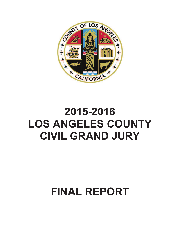

# **2015-2016 LOS ANGELES COUNTY CIVIL GRAND JURY**

# **FINAL REPORT**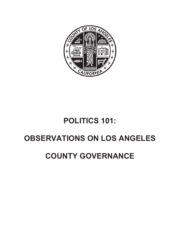

# **POLITICS 101:**

# **2BSERVATIONS ON LOS ANGELES**

# **COUNTY GOVERNANCE**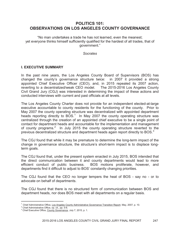# **POLITICS 101: OBSERVATIONS ON LOS ANGELES COUNTY GOVERNANCE**

"No man undertakes a trade he has not learned, even the meanest; yet everyone thinks himself sufficiently qualified for the hardest of all trades, that of government."

#### *Socrates*

# **I. EXECUTIVE SUMMARY**

In the past nine years, the Los Angeles County Board of Supervisors (BOS) has changed the county's governance structure twice: in 2007 it provided a strong appointed Chief Executive Officer (CEO), and, in 2015 repealed its 2007 action, reverting to a decentralized/weak CEO model. The 2015-2016 Los Angeles County Civil Grand Jury (CGJ) was interested in determining the impact of these actions and conducted interviews with current and past officials at all levels.

The Los Angeles County Charter does not provide for an independent elected-at-large executive accountable to county residents for the functioning of the county. Prior to May 2007 the county operating structure was decentralized with appointed department heads reporting directly to BOS.<sup>1</sup> In May 2007 the county operating structure was centralized through the creation of an appointed chief executive to be a single point of contact for department heads and accountable for the implementation and management of county programs.<sup>2</sup> In July 2015 the county operating structure reverted to the previous decentralized structure and department heads again report directly to BOS. $3$ 

The CGJ found that while it may be premature to determine the long-term impact of the change in governance structure, the structure's short-term impact is to displace longterm goals.

The CGJ found that, under the present system enacted in July 2015, BOS intended that the direct communication between it and county departments would lead to more efficient conduct of public business. BOS motions proliferate, however, and departments find it difficult to adjust to BOS' constantly changing priorities.

The CGJ found that the CEO no longer tempers the heat of BOS - say no - or to advocate on behalf of departments.

The CGJ found that there is no structured form of communication between BOS and department heads, nor does BOS meet with all departments on a regular basis.

<sup>1</sup> Chief Administrative Office, Los Angeles County Administrative Governance Transition Report, May, 2007, p. 10.

<sup>&</sup>lt;sup>2</sup> Chief Administrative Office, op. cit., pp. 5-6.

<sup>&</sup>lt;sup>3</sup> Chief Executive Office, County Governance, July 7, 2015, p. 1.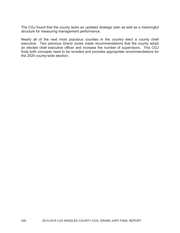The CGJ found that the county lacks an updated strategic plan as well as a meaningful structure for measuring management performance.

Nearly all of the next most populous counties in the country elect a county chief executive. Two previous Grand Juries made recommendations that the county adopt an elected chief executive officer and increase the number of supervisors. This CGJ finds both concepts need to be revisited and provides appropriate recommendations for the 2020 county-wide election.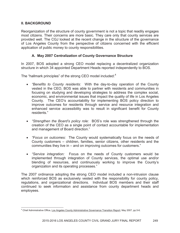# **II. BACKGROUND**

Reorganization of the structure of county government is not a topic that readily engages most citizens. Their concerns are more basic. They care only that county services are provided well. The CGJ looked at the recent change in the structure of the governance of Los Angeles County from the perspective of citizens concerned with the efficient application of public money to county responsibilities.

# **A. May 2007 Centralization of County Governance Structure**

In 2007, BOS adopted a strong CEO model replacing a decentralized organization structure in which 34 appointed Department Heads reported independently to BOS.

The "hallmark principles" of the strong CEO model included:<sup>4</sup>

- x *"Benefits to County residents:* With the day-to-day operation of the County vested in the CEO, BOS was able to partner with residents and communities in focusing on studying and developing strategies to address the complex social, economic, and environmental issues that impact the quality of life in Los Angeles County. The CEO's accountability for implementing BOS policy direction to improve outcomes for residents through service and resource integration and enhanced service accessibility was to result in significant benefit for County residents."
- *"Strengthen the Board's policy role:* BOS's role was strengthened through the creation of the CEO as a single point of contact accountable for implementation and management of Board direction."
- x *"Focus on outcomes:* The County would systematically focus on the needs of County customers – children, families, senior citizens, other residents and the communities they live in – and on improving outcomes for customers."
- "Service integration: Focus on the needs of County customers would be implemented through integration of County services, the optimal use and/or blending of resources, and continuously working to improve the County's organization and its operating processes."

The 2007 ordinance adopting the strong CEO model included a non-intrusion clause which reinforced BOS as exclusively vested with the responsibility for county policy, regulations, and organizational directions. Individual BOS members and their staff continued to seek information and assistance from county department heads and employees.

<sup>&</sup>lt;sup>4</sup> Chief Administrative Office, Los Angeles County Administrative Governance Transition Report, May 2007, pp.5-6.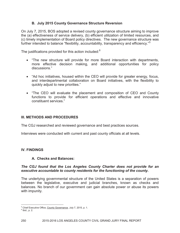# **B. July 2015 County Governance Structure Reversion**

On July 7, 2015, BOS adopted a revised county governance structure aiming to improve the (a) effectiveness of service delivery, (b) efficient utilization of limited resources, and (c) timely implementation of Board policy directives. The new governance structure was further intended to balance "flexibility, accountability, transparency and efficiency."<sup>5</sup>

The justifications provided for this action included:<sup>6</sup>

- "The new structure will provide for more Board interaction with departments, more effective decision making, and additional opportunities for policy discussions."
- "Ad hoc initiatives, housed within the CEO will provide for greater energy, focus, and interdepartmental collaboration on Board initiatives, with the flexibility to quickly adjust to new priorities."
- "The CEO will evaluate the placement and composition of CEO and County functions to provide for efficient operations and effective and innovative constituent services."

# **III. METHODS AND PROCEDURES**

The CGJ researched and reviewed governance and best practices sources.

Interviews were conducted with current and past county officials at all levels.

# **IV. FINDINGS**

### **A. Checks and Balances:**

# *The CGJ found that the Los Angeles County Charter does not provide for an executive accountable to county residents for the functioning of the county.*

The underlying governmental structure of the United States is a separation of powers between the legislative, executive and judicial branches, known as checks and balances. No branch of our government can gain absolute power or abuse its powers with impunity.

<sup>5</sup> Chief Executive Office, County Governance, July 7, 2015, p. 1.

 $6$  Ibid., p. 2.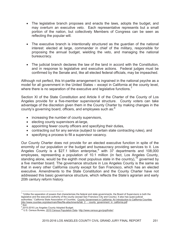- The legislative branch proposes and enacts the laws, adopts the budget, and may overturn an executive veto. Each representative represents but a small portion of the nation, but collectively Members of Congress can be seen as reflecting the popular will.
- The executive branch is intentionally structured as the quardian of the national interest: elected at large, commander in chief of the military, responsible for proposing the annual budget, wielding the veto, and managing the national bureaucracy.
- The judicial branch declares the law of the land in accord with the Constitution, and in response to legislative and executive actions. Federal judges must be confirmed by the Senate and, like all elected federal officials, may be impeached.

Although not perfect, this tri-partite arrangement is ingrained in the national psyche as a model for all government in the United States – except in California at the county level, where there is no separation of the executive and legislative functions.<sup>7</sup>

Section XI of the State Constitution and Article II of the Charter of the County of Los Angeles provide for a five-member supervisorial structure. County voters can take advantage of the discretion given them in the County Charter by making changes in the county's governing board, officers, and employees such as:<sup>8</sup>

- increasing the number of county supervisors,
- electing county supervisors at-large,
- appointing fewer county officers and specifying their duties,
- contracting out for any service (subject to certain state contracting rules), and
- specifying a process to fill a supervisor vacancy.

Our County Charter does not provide for an elected executive function in spite of the enormity of our population or the budget and bureaucracy providing services to it. Los Angeles County is a \$27.1 billion enterprise, with  $37$  departments and 108,000 employees, representing a population of 10.1 million (in fact, Los Angeles County, standing alone, would be the eighth most populous state in the country),  $10$  governed by a five member board. The governance structure in Los Angeles County is the same as that in every other California county except for San Francisco, which has an elected executive. Amendments to the State Constitution and the County Charter have not addressed this basic governance structure, which reflects the State's agrarian and early 20th century reform history.

<sup>&</sup>lt;sup>7</sup> "Unlike the separation of powers that characterizes the federal and state governments, the Board of Supervisors is both the legislative and the executive authority of the county (except San Francisco City and County). It also has quasi-judicial authorities." California State Association of Counties, County Government in California: An Introduction to California Counties, http://www.counties.org/sites/main/files/file-attachments/tab\_2\_-\_county\_government\_in\_california.pdf<br><sup>8</sup> Ibid Ibid.

<sup>&</sup>lt;sup>9</sup> 2015-2016 Los Angeles County Adopted Budget.

<sup>10</sup> U.S. Census Bureau, 2010 Census Population Data. http://www.census.gov/popfinder/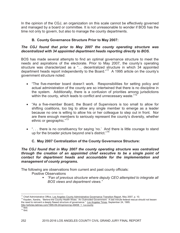In the opinion of the CGJ, an organization on this scale cannot be effectively governed and managed by a board or committee. It is not unreasonable to wonder if BOS has the time not only to govern, but also to manage the county departments.

# **B. County Governance Structure Prior to May 2007:**

# *The CGJ found that prior to May 2007 the county operating structure was decentralized with 34 appointed department heads reporting directly to BOS.*

BOS has made several attempts to find an optimal governance structure to meet the needs and aspirations of the electorate. Prior to May 2007, the county's operating structure was characterized as a "… decentralized structure in which 34 appointed department heads report independently to the Board."<sup>11</sup> A 1995 article on the county's government structure noted:

- "The five-member board doesn't work. Responsibilities for setting policy and actual administration of the county are so intertwined that there is no discipline in the system. Additionally, there is a confusion of priorities among jurisdictions within the county, which leads to conflict and unnecessary waste."<sup>12</sup>
- "As a five-member Board, the Board of Supervisors is too small to allow for shifting coalitions, too big to allow any single member to emerge as a leader because no one is willing to allow his or her colleague to step out in front. Nor are there enough members to seriously represent the county's diversity, whether ethnic or geographic."<sup>13</sup>
- "... there is no constituency for saying 'no.' And there is little courage to stand up for the broader picture beyond one's district."<sup>14</sup>

# **C. May 2007 Centralization of the County Governance Structure:**

*The CGJ found that in May 2007 the county operating structure was centralized through the creation of an appointed chief executive to be a single point of contact for department heads and accountable for the implementation and management of county programs.*

The following are observations from current and past county officials:

Positive Observations

 *"Fan of previous structure where deputy CEO attempted to integrate all BOS views and department views."*

<sup>&</sup>lt;sup>11</sup> Chief Administrative Office, Los Angeles County Administrative Governance Transition Report, May 2007, p. 10.

<sup>&</sup>lt;sup>12</sup> Kayden, Xandra, "Behind the County Health Woes: An Outmoded Government: A last minute federal rescue should not lessen the need to reinvent a deeply flawed structure of governance." Los Angeles Times, September 24, 1995.

http://articles.latimes.com/1995-09-24/opinion/op-49458\_1\_l-a-county

 $13$  Ibid.  $14$  Ibid.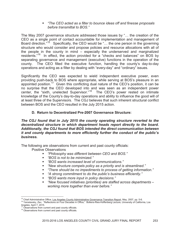*"The CEO acted as a filter to bounce ideas off and finesse proposals before transmittal to BOS."*

The May 2007 governance structure addressed those issues by "… the creation of the CEO as a single point of contact accountable for implementation and management of Board direction."<sup>15</sup> Specifically, the CEO would be "... the one person in the governing structure who would consider and propose policies and resource allocations with all of the people in the county in mind – especially the underserved and marginalized residents."<sup>16</sup> In effect, the action provided for a "checks and balances" on BOS by separating governance and management (executive) functions in the operation of the county. The CEO filled the executive function, handling the county's day-to-day operations and acting as a filter by dealing with "every-day" and "ordinary" issues.

Significantly the CEO was expected to wield independent executive power, even providing push-back to BOS where appropriate, while serving at BOS's pleasure in an appointed position.<sup>17</sup> Given this conflicting dual nature of the CEO's position, it can be no surprise that the CEO developed into and was seen as an independent power center, the "sixth, unelected Supervisor."<sup>18</sup> The CEO's power rested on intimate knowledge of the County's day-to-day operations and ability to influence the good will of at least three of the Supervisors. The CGJ believes that such inherent structural conflict between BOS and the CEO resulted in the July 2015 action.

# **D. Return to Decentralized Pre-2007 Governance Structure:**

*The CGJ found that in July 2015 the county operating structure reverted to the decentralized structure in which department heads report directly to the board. Additionally, the CGJ found that BOS intended the direct communication between it and county departments to more efficiently further the conduct of the public's business.*

The following are observations from current and past county officials:

Positive Observations

- *"Philosophy was different between CEO and BOS."*
- *"BOS is not to be minimized."*
- *"BOS wants increased level of communications."*
- *"New structure compels policy as a priority and is streamlined."*
- *"There should be no impediments to process of getting information."*
- *"A strong commitment to do the public's business efficiently."*
- *"BOS wants more input in policy decisions."*
- *"New focused initiatives (priorities) are staffed across departments – working more together than ever before."*

<sup>&</sup>lt;sup>15</sup> Chief Administrative Office, Los Angeles County Administrative Governance Transition Report, May, 2007, pp. 5-6.

<sup>16</sup> Yaroslavsky, Zev, "Reflections on Four Decades in Office," Bollens-Ries-Hoffenberg Lecture, University of California, Los

Angeles, April 7, 2015.

Observations from current and past county officials.

<sup>&</sup>lt;sup>18</sup> Observations from current and past county officials.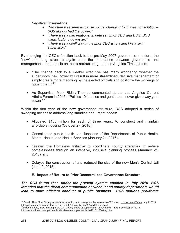Negative Observations

- *"Structure was seen as cause so just changing CEO was not solution – BOS always had the power."*
- *"There was a bad relationship between prior CEO and BOS, BOS wants CEO to downsize."*
- *"There was a conflict with the prior CEO who acted like a sixth supervisor."*

By changing the CEO's function back to the pre-May 2007 governance structure, the "new" operating structure again blurs the boundaries between governance and management. In an article on the re-restructuring, the Los Angeles Times noted:

- "The change back to a weaker executive has many wondering whether the supervisors' new power will result in more streamlined, decisive management or simply create more meddling by the elected officials and politicize the workings of government."<sup>19</sup>
- As Supervisor Mark Ridley-Thomas commented at the Los Angeles Current Affairs Forum in 2015: "Politics 101, ladies and gentlemen, never give away your power."<sup>20</sup>

Within the first year of the new governance structure, BOS adopted a series of sweeping actions to address long standing and urgent needs:

- Allocated \$100 million for each of three years, to construct and maintain affordable housing (October 27, 2015);
- Consolidated public health care functions of the Departments of Public Health, Mental Health, and Health Services (January 21, 2016);
- Created the Homeless Initiative to coordinate county strategies to reduce homelessness through an intensive, inclusive planning process (January 21, 2016); and
- Delayed the construction of and reduced the size of the new Men's Central Jail (June 9, 2015).

# **E. Impact of Return to Prior Decentralized Governance Structure:**

*The CGJ found that, under the present system enacted in July 2015, BOS intended that the direct communication between it and county departments would lead to more efficient conduct of public business. BOS motions proliferate* 

<sup>&</sup>lt;sup>19</sup> Sewell, Abby, "L.A. County supervisors move to consolidate power by weakening CEO's job," Los Angeles Times, July 7, 2015.

<sup>&</sup>lt;u>http://www.latimes.com/local/california/la-me-0708-county-ceo-20150708-story.html</u><br><sup>20</sup>Editorial Board, "New thinking at the L.A. County Board of Supervisors," <u>Los Angeles Times</u>, December 24, 2015. http://www.latimes.com/opinion/editorials/la-ed-county-supervisors-20151223-story.html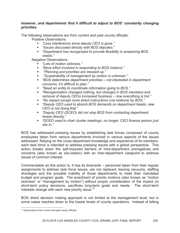### *however, and departments find it difficult to adjust to BOS' constantly changing priorities.*

The following observations are from current and past county officials:

Positive Observations

- *"Less interference since deputy CEO is gone."*
- *"Issues discussed directly with BOS deputies."*
- *"Department has reorganized to provide flexibility in answering BOS needs."*

Negative Observations

- *"Lots of motion sickness."*
- *"More effort involved in responding to BOS motions."*
- *"Planning and priorities are messed up."*
- *"Sustainability of management by motion is unknown."*
- *"BOS determines department priorities not interested in department concerns, it's difficult to plan."*
- *"Need an entity to coordinate information going to BOS."*
- *"Reorganization changed nothing, but changes in BOS members and removal of deputy CEOs increased business – now everything is hot."*
- *"No impact except more direct instructions (via motions) by BOS."*
- *"Deputy CEO used to absorb BOS demands on department heads, new CEO is not doing that."*
- *"Deputy CEO (DCEO) did not stop BOS from contacting department heads directly."*
- *"DCEO used to chair cluster meetings, no longer; CEO finance person just sits in."*

BOS has addressed pressing issues by establishing task forces composed of county employees taken from various departments involved in various aspects of the issues addressed. Relying on the cross-department knowledge and experience of its members, each task force is intended to address pressing issues with a global perspective. This action breaks down the self-imposed barriers of intra-department prerogatives and concerns (also known as silo-ization) with an inter-department viewpoint to address issues of common interest.

Commendable as this action is, it has its downside – personnel taken from their regular assignments to address task force issues, are not replaced, leaving vacuums, staffing shortages and the possible inability of those departments to meet their mandated budget and program goals. The enactment of priority motions (also known as "motion sickness" or "management by motion") without proper consideration of the impact on short-term policy decisions, sacrifices long-term goals and needs. The short-term interests change with each new priority issue.<sup>21</sup>

BOS direct decision making approach is not limited at the management level, but in some cases reaches down to the lowest levels of county operations. Instead of letting

 $21$  Observations from current and past county officials.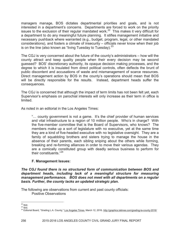managers manage, BOS dictates departmental priorities and goals, and is not interested in a department's concerns. Departments are forced to work on the priority issues to the exclusion of their regular mandated work.<sup>22</sup> This makes it very difficult for a department to do any meaningful future planning. It stifles management initiative and necessary pushback where warranted (e.g., budget, program, legal, or other mandated considerations), and fosters a climate of insecurity – officials never know when their job is on the line (also known as "living Tuesday to Tuesday).  $23$ 

The CGJ is very concerned about the future of the county's administrators – how will the county attract and keep quality people when their every decision may be second guessed? BOS' discretionary authority, its opaque decision making processes, and the degree to which it is insulated from direct political controls, often deflects the brunt of public discontent and accusations of waste and mismanagement of scarce resources. Direct management action by BOS in the county's operations should mean that BOS will be directly responsible for the results. Instead, department heads suffer the consequences.

The CGJ is concerned that although the impact of term limits has not been felt yet, each Supervisor's emphasis on parochial interests will only increase as their term in office is limited.

As noted in an editorial in the Los Angeles Times:

"… county government is not a game. It's the chief provider of human services and vital infrastructure to a region of 10 million people. Who's in charge? With the five-member committee that is the Board of Supervisors, who knows? The members make up a sort of legislature with no executive, yet at the same time they are a kind of five-headed executive with no legislative oversight. They are a family of squabbling brothers and sisters trying to manage the house in the absence of their parents, each sibling sniping about the others while forming, breaking and re-forming alliances in order to move their various agendas. They are a comically constituted group with deadly serious business to perform for their constituents  $"^{24}$ 

# **F. Management Issues:**

*The CGJ found there is no structured form of communication between BOS and department heads, including lack of a meaningful structure for measuring management performance. BOS does not meet with all departments on a regular basis. Further, the county lacks an updated strategic plan.*

The following are observations from current and past county officials: Positive Observations

 $22$  Ibid.

 $23$  Ibid.

<sup>&</sup>lt;sup>24</sup> Editorial Board, "Grading L.A. County," Los Angeles Times, March 12, 2016. http://graphics.latimes.com/grading-la-county-2016/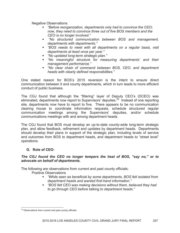Negative Observations

- *"Before reorganization, departments only had to convince the CEO; now, they need to convince three out of five BOS members and the CEO is no longer involved."*
- *"No structured communication between BOS and management, departments with departments."*
- *"BOS needs to meet with all departments on a regular basis, visit departments at least once per year."*
- *"No updated long-term strategic plan."*
- *"No meaningful structure for measuring departments' and their management performance."*
- *"No clear chain of command between BOS, CEO, and department heads with clearly defined responsibilities."*

One stated reason for BOS's 2015 reversion is the intent to ensure direct communication between it and county departments, which in turn leads to more efficient conduct of public business.

The CGJ found that although the "filtering" layer of Deputy CEO's (DCEO) was eliminated, departments now report to Supervisors' deputies.<sup>25</sup> Instead of one reporting site, departments now have to report to five. There appears to be no communication clearing house to coordinate information requests, schedule structured regular communication meetings among the Supervisors' deputies, and/or schedule communications meetings with and among department heads.

The CGJ found that BOS must develop an up-to-date county-wide long-term strategic plan, and allow feedback, refinement and updates by department heads. Departments should develop their plans in support of the strategic plan, including levels of service and outcomes from BOS to department heads, and department heads to "street level" operations.

# **G. Role of CEO:**

# *The CGJ found the CEO no longer tempers the heat of BOS, "say no," or to advocate on behalf of departments.*

The following are observations from current and past county officials:

Positive Observations

- *"While seen as beneficial by some departments, BOS felt isolated from department heads and wanted first-hand information."*
- *"BOS felt CEO was making decisions without them, believed they had to go through CEO before talking to department heads."*

<sup>&</sup>lt;sup>25</sup> Observations from current and past county officials.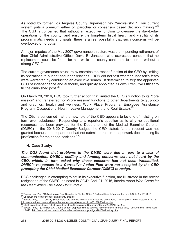As noted by former Los Angeles County Supervisor Zev Yaroslavsky, "…our current system puts a premium either on parochial or consensus based decision making."<sup>26</sup> The CGJ is concerned that without an executive function to oversee the day-to-day operations of the county, and ensure the long-term fiscal health and viability of its programmatic needs and goals, there is a real possibility that such concerns will be overlooked or forgotten.

A major impetus of the May 2007 governance structure was the impending retirement of then Chief Administrative Officer David E. Janssen, who expressed concern that no replacement could be found for him while the county continued to operate without a strong CEO.<sup>27</sup>

The current governance structure eviscerates the recent function of the CEO by limiting its operations to budget and labor relations. BOS did not test whether Janssen's fears were warranted by conducting an executive search. It determined to strip the appointed CEO of independence and authority, and quickly appointed its own Executive Officer to fill the diminished post. $28$ 

On March 29, 2016, BOS took further action that limited the CEO's function to its "core mission" and transferred non-"core mission" functions to other departments (e.g., photo and graphics, health and wellness, Work Place Programs, Employee Assistance Program, Occupational Health, Leave Management, and Real Estate).<sup>29</sup>

The CGJ is concerned that the new role of the CEO appears to be one of insisting on form over substance. Responding to a reporter's question as to why no additional resources had been provided for the Department of the Medical Examiner-Coroner (DMEC) in the 2016-2017 County Budget, the CEO stated: "…the request was not granted because the department had not submitted required paperwork documenting its justification for the added positions."<sup>30</sup>

# **H. Case Study:**

*The CGJ found that problems in the DMEC were due in part to a lack of communication. DMEC's staffing and funding concerns were not heard by the CEO, which, in turn, asked why those concerns had not been transmitted. DMEC's responses to a Corrective Action Plan were not accepted by the CEO prompting the Chief Medical Examiner-Coroner (CMEC) to resign.*

BOS challenges in attempting to act in its executive function, are illustrated in the recent resignation of the CMEC, as noted in CGJ's April 21, 2016, interim report *Who Cares for the Dead When The Dead Don't Vote?*

<sup>27</sup> Observations from current or past county officials.

<sup>&</sup>lt;sup>26</sup> Yaroslavksy, Zev, "Reflections on Four Decades in Elected Office," Bollens-Ries-Hoffenberg Lecture, UCLA, April 7, 2015.

<sup>&</sup>lt;sup>28</sup> Sewell, Abby, "L.A. County Supervisors vote to make interim chief executive permanent," Los Angeles Times, October 6, 2015. http://www.latimes.com/local/lanow/la-me-ln-county-chief-executive-20151006-story.html<br><sup>29</sup> Chief Executive Officer #Object=00151006-story.html

<sup>29</sup> Chief Executive Officer, "Chief Executive Office Organization Redesign," March 29, 2016, pp. 1-2.

<sup>30</sup> Sewell, Abby. "\$28 billion L.A. County budget proposal aims to address homelessness, improve jails," Los Angeles Times, April

<sup>11, 2016.</sup> http://www.latimes.com/local/lanow/la-me-ln-la-county-budget-20160411-story.html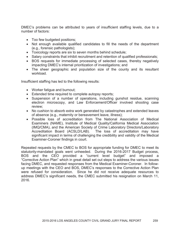DMEC's problems can be attributed to years of insufficient staffing levels, due to a number of factors:

- Too few budgeted positions;
- Not enough available qualified candidates to fill the needs of the department (e.g., forensic pathologists);
- Toxicology reports are six to seven months behind schedule;
- Salary constraints that inhibit recruitment and retention of qualified professionals;
- BOS requests for immediate processing of selected cases, thereby negatively impacting DMEC's internal prioritization of investigations; and
- The sheer geographic and population size of the county and its resultant workload.

Insufficient staffing has led to the following results:

- Worker fatigue and burnout;
- Extended time required to complete autopsy reports;
- Suspension of a number of operations, including gunshot residue, scanning electron microscopy, and Law Enforcement/Officer involved shooting case review;
- No cushion to absorb extra work generated by catastrophes and extended leaves of absence (e.g., maternity or bereavement leave, illness);
- Possible loss of accreditation from The National Association of Medical Examiners (NAME), Institute of Medical Quality/California Medical Association (IMQ/CMA), and the American Society of Crime Laboratory Directors/Laboratory Accreditation Board (ACSLD/LAB). The loss of accreditation may have significant impact in terms of challenging the credibility and validity of the Medical Examiner-Coroner findings in court.

Repeated requests by the CMEC to BOS for appropriate funding for DMEC to meet its statutorily-mandated goals went unheeded. During the 2016-2017 Budget process, BOS and the CEO provided a "current level budget" and imposed a "Corrective Action Plan" which in great detail set out steps to address the various issues facing DMEC, and requested responses from the Medical Examiner-Coroner. In followup meetings with the CEO and BOS, DMEC's responses to the Corrective Action Plan were refused for consideration. Since he did not receive adequate resources to address DMEC's significant needs, the CMEC submitted his resignation on March 11, 2016.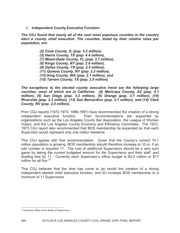**I. Independent County Executive Function:**

*The CGJ found that nearly all of the next most populous counties in the country elect a county chief executive. The counties, listed by their relative sizes per population, are:*

> *(2) Cook County, IL (pop. 5.2 million), (3) Harris County, TX (pop. 4.4 million), (7) Miami-Dade County, FL (pop. 2.7 million), (8) Kings County, NY (pop. 2.6 million), (9) Dallas County, TX (pop. 2.5 million), (11) Queens County, NY (pop. 2.3 million), (13) King County, WA (pop. 2.1 million), and (15) Tarrant County, TX (pop. 2.0 million).*

*The exceptions to the elected county executive trend are the following large counties, most of which are in California: (4) Maricopa County, AZ (pop. 4.1 million), (5) San Diego (pop. 3.3 million), (6) Orange (pop. 3.1 million), (10) Riverside (pop. 2.3 million), (12) San Bernardino (pop. 2.1 million), and (14) Clark County, NV (pop. 2.0 million).*

Prior CGJ reports (1972-1973; 1996-1997) have recommended the creation of a strong independent executive function. Their recommendations are supported by organizations such as the Los Angeles County Bar Association, the League of Women Voters, and the Los Angeles County Economy and Efficiency Committee. The 1972- 1973 CGJ report also recommended that BOS membership be expanded so that each Supervisor would represent only one million residents.

This CGJ agrees with that recommendation. Given that the County's current 10.1 million population is growing, BOS membership should therefore increase to 10 or, if an odd number is required 11. The cost of additional Supervisors should be a zero sum game by taking the current budgeted amount for the Supervisors and their staff, and dividing that by 11. Currently each Supervisor's office budget is \$3.4 million or \$17 million for all five.  $31$ 

This CGJ believes that the time has come to (a) revisit the creation of a strong independent elected chief executive function, and (b) increase BOS membership to a minimum of 11 Supervisors.

<sup>&</sup>lt;sup>31</sup> Executive Office of the Board of Supervisors.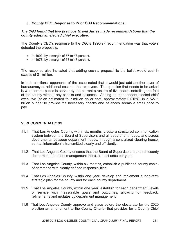# **J. County CEO Response to Prior CGJ Recommendations:**

#### *The CGJ found that two previous Grand Juries made recommendations that the county adopt an elected chief executive.*

The County's CEO's response to the CGJ's 1996-97 recommendation was that voters defeated the proposals:

- $\bullet$  In 1992, by a margin of 57 to 43 percent.
- In 1978, by a margin of 53 to 47 percent.

The response also indicated that adding such a proposal to the ballot would cost in excess of \$1 million.

In both elections, opponents of the issue noted that it would just add another layer of bureaucracy at additional costs to the taxpayers. The question that needs to be asked is whether the public is served by the current structure of five czars controlling the fate of the county without any checks and balances. Adding an independent elected chief executive (at an estimated four million dollar cost, approximately 0.015%) in a \$27.1 billion budget to provide the necessary checks and balances seems a small price to pay.

### **V. RECOMMENDATIONS**

- 11.1 That Los Angeles County, within six months, create a structured communication system between the Board of Supervisors and all department heads, and across departments, between department heads, through a centralized clearing house, so that information is transmitted clearly and efficiently.
- 11.2 That Los Angeles County ensures that the Board of Supervisors tour each county department and meet management there, at least once per year.
- 11.3 That Los Angeles County, within six months, establish a published county chainof-command with clearly defined responsibilities.
- 11.4 That Los Angeles County, within one year, develop and implement a long-term strategic plan for the county and for each county department.
- 11.5 That Los Angeles County, within one year, establish for each department, levels of service with measurable goals and outcomes, allowing for feedback, refinements and updates by department management.
- 11.6 That Los Angeles County approve and place before the electorate for the 2020 election an amendment to the County Charter that provides for a County Chief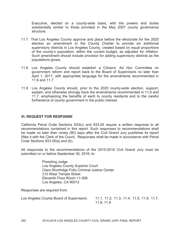Executive, elected on a county-wide basis, with the powers and duties substantially similar to those provided in the May 2007 county governance structure.

- 11.7 That Los Angeles County approve and place before the electorate for the 2020 election an amendment to the County Charter to provide six additional supervisory districts in Los Angeles County, created based on equal proportions of the county's population, within the current budget, as adjusted for inflation. Such amendment should include provision for adding supervisory districts as the populations grows.
- 11.8 Los Angeles County should establish a Citizens' Ad Hoc Committee on government reform and report back to the Board of Supervisors no later than April 1, 2017, with appropriate language for the amendments recommended in 11.6 and 11.7.
- 11.9 Los Angeles County should, prior to the 2020 county-wide election, support, explain, and otherwise strongly back the amendments recommended in 11.6 and 11.7, emphasizing the benefits of each to county residents and to the careful furtherance of county government in the public interest.

### **VI. REQUEST FOR RESPONSE**

California Penal Code Sections 933(c) and 933.05 require a written response to all recommendations contained in this report. Such responses to recommendations shall be made no later than ninety (90) days after the Civil Grand Jury publishes its report (files it with the Clerk of the Court). Responses shall be made in accordance with Penal Code Sections 933.05(a) and (b).

All responses to the recommendations of the 2015-2016 Civil Grand Jury must be submitted on or before September 30, 2016, to:

> Presiding Judge Los Angeles County Superior Court Clara Shortridge Foltz Criminal Justice Center 210 West Temple Street Eleventh Floor-Room 11-506 Los Angeles, CA 90012

Responses are required from:

| Los Angeles County Board of Supervisors: | 11.1, 11.2, 11.3, 11.4, 11.5, 11.6, 11.7, |
|------------------------------------------|-------------------------------------------|
|                                          | 11.8, 11.9                                |